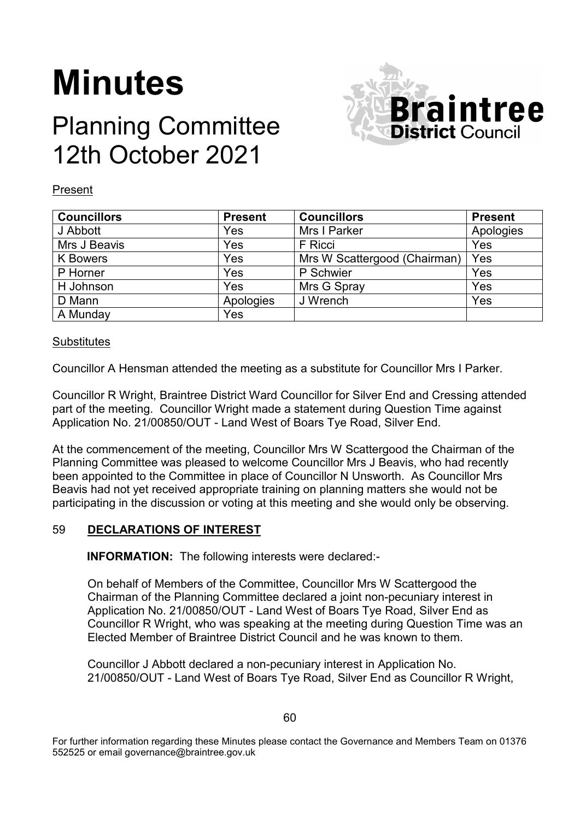# **Minutes**

## Planning Committee 12th October 2021



#### Present

| <b>Councillors</b> | <b>Present</b> | <b>Councillors</b>           | <b>Present</b> |
|--------------------|----------------|------------------------------|----------------|
| J Abbott           | Yes            | Mrs I Parker                 | Apologies      |
| Mrs J Beavis       | Yes            | F Ricci                      | Yes            |
| <b>K</b> Bowers    | Yes            | Mrs W Scattergood (Chairman) | Yes            |
| P Horner           | Yes            | P Schwier                    | Yes            |
| H Johnson          | Yes            | Mrs G Spray                  | Yes            |
| D Mann             | Apologies      | J Wrench                     | Yes            |
| A Munday           | Yes            |                              |                |

#### **Substitutes**

Councillor A Hensman attended the meeting as a substitute for Councillor Mrs I Parker.

Councillor R Wright, Braintree District Ward Councillor for Silver End and Cressing attended part of the meeting. Councillor Wright made a statement during Question Time against Application No. 21/00850/OUT - Land West of Boars Tye Road, Silver End.

At the commencement of the meeting, Councillor Mrs W Scattergood the Chairman of the Planning Committee was pleased to welcome Councillor Mrs J Beavis, who had recently been appointed to the Committee in place of Councillor N Unsworth. As Councillor Mrs Beavis had not yet received appropriate training on planning matters she would not be participating in the discussion or voting at this meeting and she would only be observing.

### 59 **DECLARATIONS OF INTEREST**

**INFORMATION:** The following interests were declared:-

On behalf of Members of the Committee, Councillor Mrs W Scattergood the Chairman of the Planning Committee declared a joint non-pecuniary interest in Application No. 21/00850/OUT - Land West of Boars Tye Road, Silver End as Councillor R Wright, who was speaking at the meeting during Question Time was an Elected Member of Braintree District Council and he was known to them.

Councillor J Abbott declared a non-pecuniary interest in Application No. 21/00850/OUT - Land West of Boars Tye Road, Silver End as Councillor R Wright,

For further information regarding these Minutes please contact the Governance and Members Team on 01376 552525 or email governance@braintree.gov.uk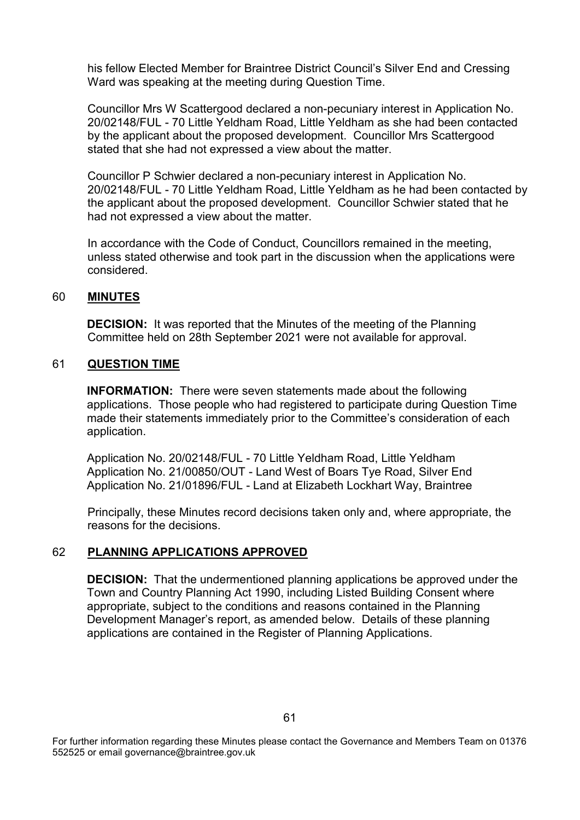his fellow Elected Member for Braintree District Council's Silver End and Cressing Ward was speaking at the meeting during Question Time.

Councillor Mrs W Scattergood declared a non-pecuniary interest in Application No. 20/02148/FUL - 70 Little Yeldham Road, Little Yeldham as she had been contacted by the applicant about the proposed development. Councillor Mrs Scattergood stated that she had not expressed a view about the matter.

Councillor P Schwier declared a non-pecuniary interest in Application No. 20/02148/FUL - 70 Little Yeldham Road, Little Yeldham as he had been contacted by the applicant about the proposed development. Councillor Schwier stated that he had not expressed a view about the matter.

In accordance with the Code of Conduct, Councillors remained in the meeting, unless stated otherwise and took part in the discussion when the applications were considered.

#### 60 **MINUTES**

**DECISION:** It was reported that the Minutes of the meeting of the Planning Committee held on 28th September 2021 were not available for approval.

#### 61 **QUESTION TIME**

**INFORMATION:** There were seven statements made about the following applications. Those people who had registered to participate during Question Time made their statements immediately prior to the Committee's consideration of each application.

Application No. 20/02148/FUL - 70 Little Yeldham Road, Little Yeldham Application No. 21/00850/OUT - Land West of Boars Tye Road, Silver End Application No. 21/01896/FUL - Land at Elizabeth Lockhart Way, Braintree

Principally, these Minutes record decisions taken only and, where appropriate, the reasons for the decisions.

### 62 **PLANNING APPLICATIONS APPROVED**

**DECISION:** That the undermentioned planning applications be approved under the Town and Country Planning Act 1990, including Listed Building Consent where appropriate, subject to the conditions and reasons contained in the Planning Development Manager's report, as amended below. Details of these planning applications are contained in the Register of Planning Applications.

For further information regarding these Minutes please contact the Governance and Members Team on 01376 552525 or email governance@braintree.gov.uk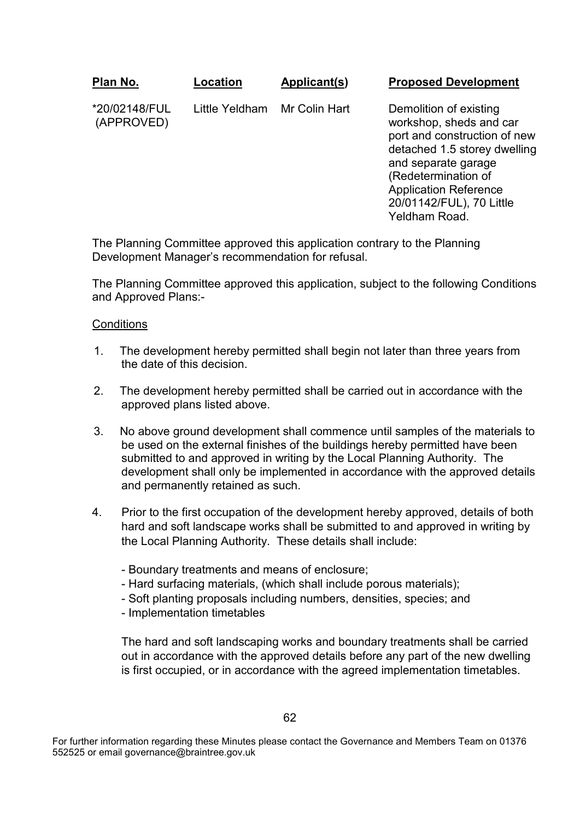**Plan No.** \*20/02148/FUL (APPROVED) **Location** Little Yeldham **Applicant(s)** Mr Colin Hart **Proposed Development** Demolition of existing

workshop, sheds and car port and construction of new detached 1.5 storey dwelling and separate garage (Redetermination of Application Reference 20/01142/FUL), 70 Little Yeldham Road.

The Planning Committee approved this application contrary to the Planning Development Manager's recommendation for refusal.

The Planning Committee approved this application, subject to the following Conditions and Approved Plans:-

#### **Conditions**

- 1. The development hereby permitted shall begin not later than three years from the date of this decision.
- 2. The development hereby permitted shall be carried out in accordance with the approved plans listed above.
- 3. No above ground development shall commence until samples of the materials to be used on the external finishes of the buildings hereby permitted have been submitted to and approved in writing by the Local Planning Authority. The development shall only be implemented in accordance with the approved details and permanently retained as such.
- 4. Prior to the first occupation of the development hereby approved, details of both hard and soft landscape works shall be submitted to and approved in writing by the Local Planning Authority. These details shall include:
	- Boundary treatments and means of enclosure;
	- Hard surfacing materials, (which shall include porous materials);
	- Soft planting proposals including numbers, densities, species; and
	- Implementation timetables

 The hard and soft landscaping works and boundary treatments shall be carried out in accordance with the approved details before any part of the new dwelling is first occupied, or in accordance with the agreed implementation timetables.

For further information regarding these Minutes please contact the Governance and Members Team on 01376 552525 or email governance@braintree.gov.uk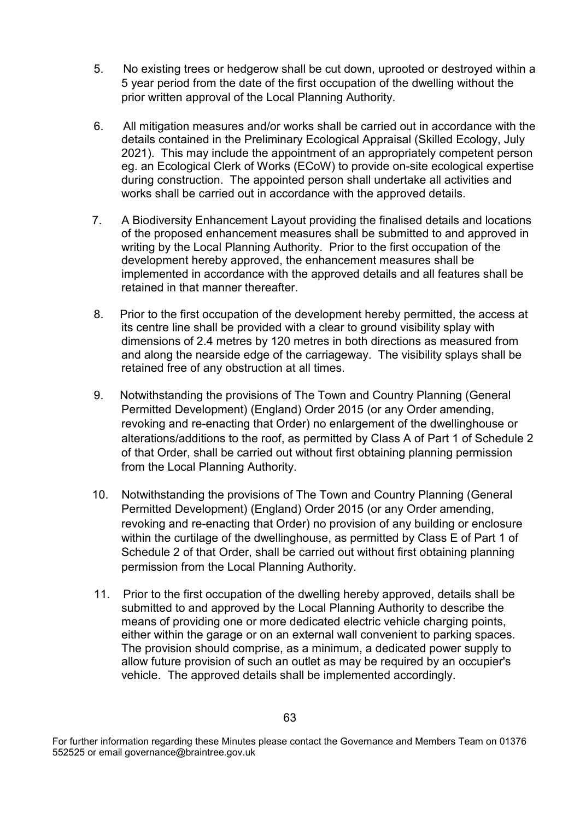- 5. No existing trees or hedgerow shall be cut down, uprooted or destroyed within a 5 year period from the date of the first occupation of the dwelling without the prior written approval of the Local Planning Authority.
- 6. All mitigation measures and/or works shall be carried out in accordance with the details contained in the Preliminary Ecological Appraisal (Skilled Ecology, July 2021). This may include the appointment of an appropriately competent person eg. an Ecological Clerk of Works (ECoW) to provide on-site ecological expertise during construction. The appointed person shall undertake all activities and works shall be carried out in accordance with the approved details.
- 7. A Biodiversity Enhancement Layout providing the finalised details and locations of the proposed enhancement measures shall be submitted to and approved in writing by the Local Planning Authority. Prior to the first occupation of the development hereby approved, the enhancement measures shall be implemented in accordance with the approved details and all features shall be retained in that manner thereafter.
- 8. Prior to the first occupation of the development hereby permitted, the access at its centre line shall be provided with a clear to ground visibility splay with dimensions of 2.4 metres by 120 metres in both directions as measured from and along the nearside edge of the carriageway. The visibility splays shall be retained free of any obstruction at all times.
- 9. Notwithstanding the provisions of The Town and Country Planning (General Permitted Development) (England) Order 2015 (or any Order amending, revoking and re-enacting that Order) no enlargement of the dwellinghouse or alterations/additions to the roof, as permitted by Class A of Part 1 of Schedule 2 of that Order, shall be carried out without first obtaining planning permission from the Local Planning Authority.
- 10. Notwithstanding the provisions of The Town and Country Planning (General Permitted Development) (England) Order 2015 (or any Order amending, revoking and re-enacting that Order) no provision of any building or enclosure within the curtilage of the dwellinghouse, as permitted by Class E of Part 1 of Schedule 2 of that Order, shall be carried out without first obtaining planning permission from the Local Planning Authority.
- 11. Prior to the first occupation of the dwelling hereby approved, details shall be submitted to and approved by the Local Planning Authority to describe the means of providing one or more dedicated electric vehicle charging points, either within the garage or on an external wall convenient to parking spaces. The provision should comprise, as a minimum, a dedicated power supply to allow future provision of such an outlet as may be required by an occupier's vehicle. The approved details shall be implemented accordingly.

For further information regarding these Minutes please contact the Governance and Members Team on 01376 552525 or email governance@braintree.gov.uk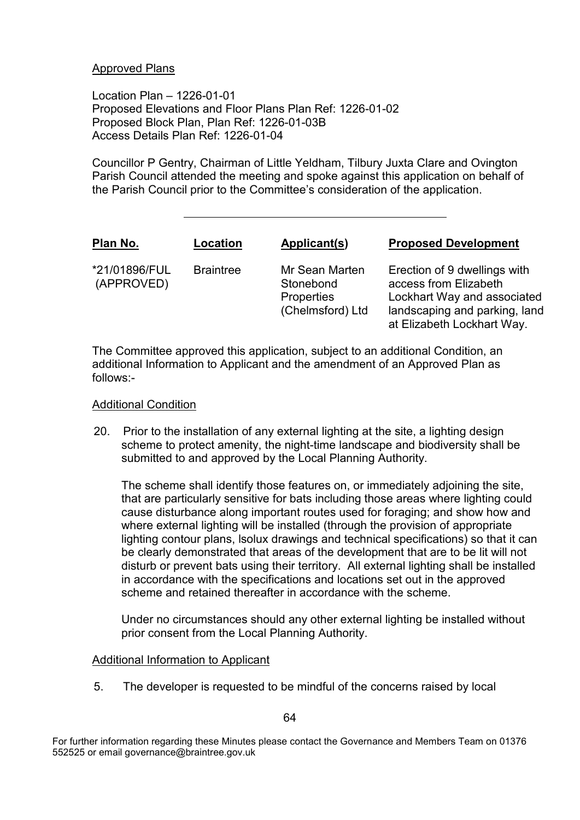#### Approved Plans

Location Plan – 1226-01-01 Proposed Elevations and Floor Plans Plan Ref: 1226-01-02 Proposed Block Plan, Plan Ref: 1226-01-03B Access Details Plan Ref: 1226-01-04

Councillor P Gentry, Chairman of Little Yeldham, Tilbury Juxta Clare and Ovington Parish Council attended the meeting and spoke against this application on behalf of the Parish Council prior to the Committee's consideration of the application.

| Plan No.                    | Location         | Applicant(s)                                                         | <b>Proposed Development</b>                                                                                                                         |
|-----------------------------|------------------|----------------------------------------------------------------------|-----------------------------------------------------------------------------------------------------------------------------------------------------|
| *21/01896/FUL<br>(APPROVED) | <b>Braintree</b> | Mr Sean Marten<br>Stonebond<br><b>Properties</b><br>(Chelmsford) Ltd | Erection of 9 dwellings with<br>access from Elizabeth<br>Lockhart Way and associated<br>landscaping and parking, land<br>at Elizabeth Lockhart Way. |

The Committee approved this application, subject to an additional Condition, an additional Information to Applicant and the amendment of an Approved Plan as follows:-

#### Additional Condition

20. Prior to the installation of any external lighting at the site, a lighting design scheme to protect amenity, the night-time landscape and biodiversity shall be submitted to and approved by the Local Planning Authority.

The scheme shall identify those features on, or immediately adjoining the site, that are particularly sensitive for bats including those areas where lighting could cause disturbance along important routes used for foraging; and show how and where external lighting will be installed (through the provision of appropriate lighting contour plans, lsolux drawings and technical specifications) so that it can be clearly demonstrated that areas of the development that are to be lit will not disturb or prevent bats using their territory. All external lighting shall be installed in accordance with the specifications and locations set out in the approved scheme and retained thereafter in accordance with the scheme.

Under no circumstances should any other external lighting be installed without prior consent from the Local Planning Authority.

#### Additional Information to Applicant

5. The developer is requested to be mindful of the concerns raised by local

For further information regarding these Minutes please contact the Governance and Members Team on 01376 552525 or email governance@braintree.gov.uk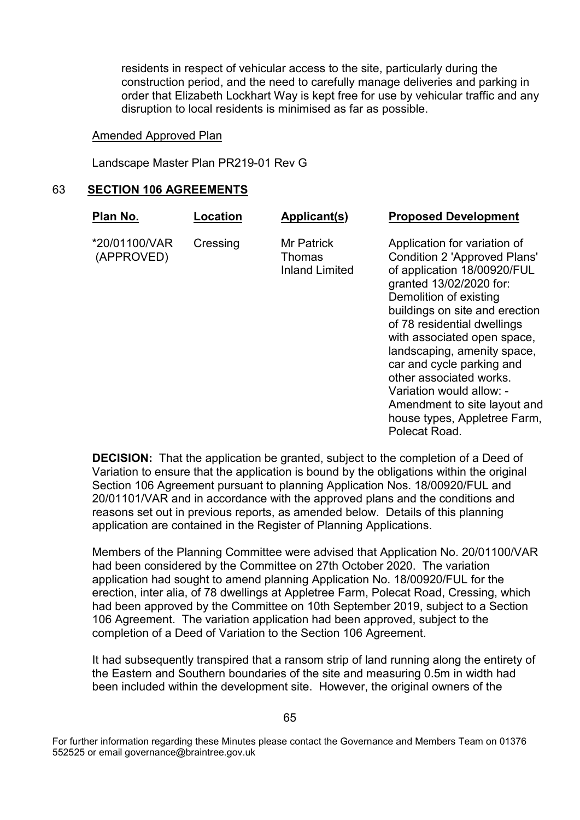residents in respect of vehicular access to the site, particularly during the construction period, and the need to carefully manage deliveries and parking in order that Elizabeth Lockhart Way is kept free for use by vehicular traffic and any disruption to local residents is minimised as far as possible.

#### Amended Approved Plan

Landscape Master Plan PR219-01 Rev G

#### 63 **SECTION 106 AGREEMENTS**

| Plan No.                    | Location | Applicant(s)                                         | <b>Proposed Development</b>                                                                                                                                                                                                                                                                                                                                                |
|-----------------------------|----------|------------------------------------------------------|----------------------------------------------------------------------------------------------------------------------------------------------------------------------------------------------------------------------------------------------------------------------------------------------------------------------------------------------------------------------------|
| *20/01100/VAR<br>(APPROVED) | Cressing | <b>Mr Patrick</b><br>Thomas<br><b>Inland Limited</b> | Application for variation of<br><b>Condition 2 'Approved Plans'</b><br>of application 18/00920/FUL<br>granted 13/02/2020 for:<br>Demolition of existing<br>buildings on site and erection<br>of 78 residential dwellings<br>with associated open space,<br>landscaping, amenity space,<br>car and cycle parking and<br>other associated works.<br>Variation would allow: - |

Amendment to site layout and house types, Appletree Farm, Polecat Road.

**DECISION:** That the application be granted, subject to the completion of a Deed of Variation to ensure that the application is bound by the obligations within the original Section 106 Agreement pursuant to planning Application Nos. 18/00920/FUL and 20/01101/VAR and in accordance with the approved plans and the conditions and reasons set out in previous reports, as amended below. Details of this planning application are contained in the Register of Planning Applications.

Members of the Planning Committee were advised that Application No. 20/01100/VAR had been considered by the Committee on 27th October 2020. The variation application had sought to amend planning Application No. 18/00920/FUL for the erection, inter alia, of 78 dwellings at Appletree Farm, Polecat Road, Cressing, which had been approved by the Committee on 10th September 2019, subject to a Section 106 Agreement. The variation application had been approved, subject to the completion of a Deed of Variation to the Section 106 Agreement.

It had subsequently transpired that a ransom strip of land running along the entirety of the Eastern and Southern boundaries of the site and measuring 0.5m in width had been included within the development site. However, the original owners of the

<sup>65</sup>

For further information regarding these Minutes please contact the Governance and Members Team on 01376 552525 or email governance@braintree.gov.uk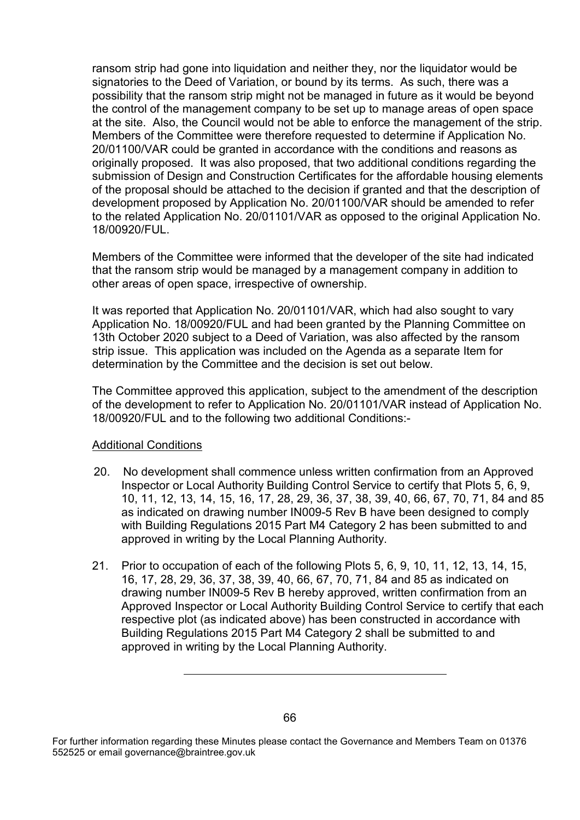ransom strip had gone into liquidation and neither they, nor the liquidator would be signatories to the Deed of Variation, or bound by its terms. As such, there was a possibility that the ransom strip might not be managed in future as it would be beyond the control of the management company to be set up to manage areas of open space at the site. Also, the Council would not be able to enforce the management of the strip. Members of the Committee were therefore requested to determine if Application No. 20/01100/VAR could be granted in accordance with the conditions and reasons as originally proposed. It was also proposed, that two additional conditions regarding the submission of Design and Construction Certificates for the affordable housing elements of the proposal should be attached to the decision if granted and that the description of development proposed by Application No. 20/01100/VAR should be amended to refer to the related Application No. 20/01101/VAR as opposed to the original Application No. 18/00920/FUL.

Members of the Committee were informed that the developer of the site had indicated that the ransom strip would be managed by a management company in addition to other areas of open space, irrespective of ownership.

It was reported that Application No. 20/01101/VAR, which had also sought to vary Application No. 18/00920/FUL and had been granted by the Planning Committee on 13th October 2020 subject to a Deed of Variation, was also affected by the ransom strip issue. This application was included on the Agenda as a separate Item for determination by the Committee and the decision is set out below.

The Committee approved this application, subject to the amendment of the description of the development to refer to Application No. 20/01101/VAR instead of Application No. 18/00920/FUL and to the following two additional Conditions:-

### Additional Conditions

- 20. No development shall commence unless written confirmation from an Approved Inspector or Local Authority Building Control Service to certify that Plots 5, 6, 9, 10, 11, 12, 13, 14, 15, 16, 17, 28, 29, 36, 37, 38, 39, 40, 66, 67, 70, 71, 84 and 85 as indicated on drawing number IN009-5 Rev B have been designed to comply with Building Regulations 2015 Part M4 Category 2 has been submitted to and approved in writing by the Local Planning Authority.
- 21. Prior to occupation of each of the following Plots 5, 6, 9, 10, 11, 12, 13, 14, 15, 16, 17, 28, 29, 36, 37, 38, 39, 40, 66, 67, 70, 71, 84 and 85 as indicated on drawing number IN009-5 Rev B hereby approved, written confirmation from an Approved Inspector or Local Authority Building Control Service to certify that each respective plot (as indicated above) has been constructed in accordance with Building Regulations 2015 Part M4 Category 2 shall be submitted to and approved in writing by the Local Planning Authority.

<sup>66</sup>

For further information regarding these Minutes please contact the Governance and Members Team on 01376 552525 or email governance@braintree.gov.uk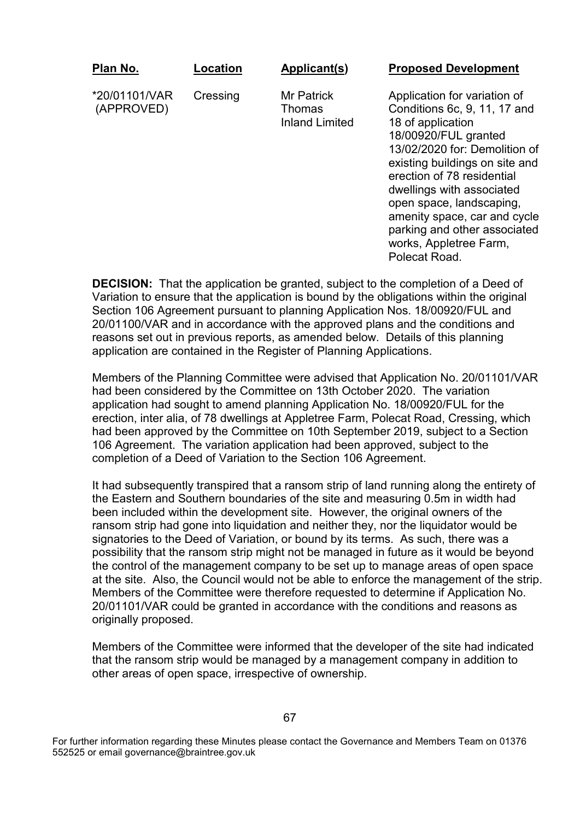| Plan No.                    | Location | Applicant(s)                                         | <b>Proposed Development</b>                                                                                                                                                                                                                                                                                                                                   |
|-----------------------------|----------|------------------------------------------------------|---------------------------------------------------------------------------------------------------------------------------------------------------------------------------------------------------------------------------------------------------------------------------------------------------------------------------------------------------------------|
| *20/01101/VAR<br>(APPROVED) | Cressing | <b>Mr Patrick</b><br>Thomas<br><b>Inland Limited</b> | Application for variation of<br>Conditions 6c, 9, 11, 17 and<br>18 of application<br>18/00920/FUL granted<br>13/02/2020 for: Demolition of<br>existing buildings on site and<br>erection of 78 residential<br>dwellings with associated<br>open space, landscaping,<br>amenity space, car and cycle<br>parking and other associated<br>works, Appletree Farm, |

**DECISION:** That the application be granted, subject to the completion of a Deed of Variation to ensure that the application is bound by the obligations within the original Section 106 Agreement pursuant to planning Application Nos. 18/00920/FUL and 20/01100/VAR and in accordance with the approved plans and the conditions and reasons set out in previous reports, as amended below. Details of this planning application are contained in the Register of Planning Applications.

Polecat Road.

Members of the Planning Committee were advised that Application No. 20/01101/VAR had been considered by the Committee on 13th October 2020. The variation application had sought to amend planning Application No. 18/00920/FUL for the erection, inter alia, of 78 dwellings at Appletree Farm, Polecat Road, Cressing, which had been approved by the Committee on 10th September 2019, subject to a Section 106 Agreement. The variation application had been approved, subject to the completion of a Deed of Variation to the Section 106 Agreement.

It had subsequently transpired that a ransom strip of land running along the entirety of the Eastern and Southern boundaries of the site and measuring 0.5m in width had been included within the development site. However, the original owners of the ransom strip had gone into liquidation and neither they, nor the liquidator would be signatories to the Deed of Variation, or bound by its terms. As such, there was a possibility that the ransom strip might not be managed in future as it would be beyond the control of the management company to be set up to manage areas of open space at the site. Also, the Council would not be able to enforce the management of the strip. Members of the Committee were therefore requested to determine if Application No. 20/01101/VAR could be granted in accordance with the conditions and reasons as originally proposed.

Members of the Committee were informed that the developer of the site had indicated that the ransom strip would be managed by a management company in addition to other areas of open space, irrespective of ownership.

For further information regarding these Minutes please contact the Governance and Members Team on 01376 552525 or email governance@braintree.gov.uk